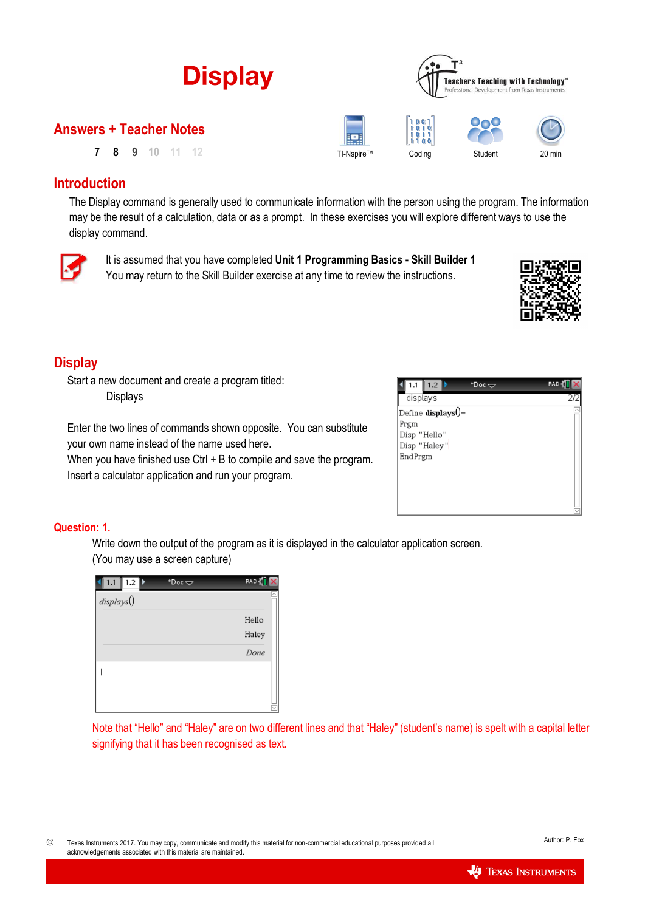

## **Introduction**

The Display command is generally used to communicate information with the person using the program. The information may be the result of a calculation, data or as a prompt. In these exercises you will explore different ways to use the display command.



It is assumed that you have completed **Unit 1 Programming Basics - Skill Builder 1** You may return to the Skill Builder exercise at any time to review the instructions.



# **Display**

Start a new document and create a program titled: Displays

Enter the two lines of commands shown opposite. You can substitute your own name instead of the name used here.

When you have finished use Ctrl + B to compile and save the program. Insert a calculator application and run your program.

| 1.2                                            | *Doc $\bigtriangledown$ | RAD |
|------------------------------------------------|-------------------------|-----|
| displays                                       |                         | 2D  |
| Define displays $() =$<br>Prgm<br>Disp "Hello" |                         |     |
| Disp "Haley"<br>EndPrgm                        |                         |     |
|                                                |                         |     |
|                                                |                         |     |
|                                                |                         |     |

## **Question: 1.**

Write down the output of the program as it is displayed in the calculator application screen. (You may use a screen capture)



Note that "Hello" and "Haley" are on two different lines and that "Haley" (student's name) is spelt with a capital letter signifying that it has been recognised as text.

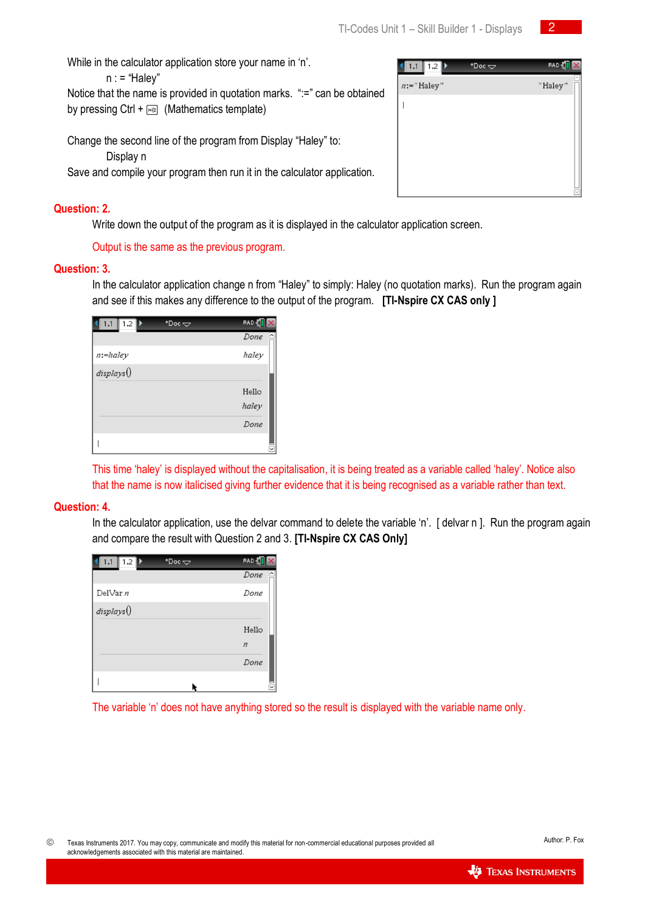$\overline{2}$ 

While in the calculator application store your name in 'n'.

 $n := "Halev"$ 

Notice that the name is provided in quotation marks. ":=" can be obtained by pressing Ctrl +  $\sqrt{m_{\text{eff}}}$  (Mathematics template)

Change the second line of the program from Display "Haley" to:

Display n

Save and compile your program then run it in the calculator application.

#### **Question: 2.**

Write down the output of the program as it is displayed in the calculator application screen.

Output is the same as the previous program.

#### **Question: 3.**

In the calculator application change n from "Haley" to simply: Haley (no quotation marks). Run the program again and see if this makes any difference to the output of the program. **[TI-Nspire CX CAS only ]**

| 1.2  <br>1.1 | *Doc $\infty$ | RAD <sup>7</sup>                 |
|--------------|---------------|----------------------------------|
|              |               | $\overline{\phantom{1}}$<br>Done |
| $n:$ -haley  |               | haley                            |
| displays()   |               |                                  |
|              |               | Hello                            |
|              |               | haley                            |
|              |               | Done                             |
|              |               | $\check{ }$                      |

This time 'haley' is displayed without the capitalisation, it is being treated as a variable called 'haley'. Notice also that the name is now italicised giving further evidence that it is being recognised as a variable rather than text.

#### **Question: 4.**

In the calculator application, use the delvar command to delete the variable 'n'. [delvar n]. Run the program again and compare the result with Question 2 and 3. **[TI-Nspire CX CAS Only]**

| 1.2<br>1.1 | $*Dec \Leftrightarrow$ | <b>RAD</b>                       |
|------------|------------------------|----------------------------------|
|            |                        | $\overline{\phantom{1}}$<br>Done |
| DelVar n   |                        | Done                             |
| displays() |                        |                                  |
|            |                        | Hello                            |
|            |                        | $\boldsymbol{n}$                 |
|            |                        | Done                             |
|            |                        |                                  |

The variable 'n' does not have anything stored so the result is displayed with the variable name only.



|   | 1.2<br>1.1    | *Doc $\Rightarrow$ | <b>RAD</b>                          |
|---|---------------|--------------------|-------------------------------------|
| d | $n:=$ "Haley" |                    | $\overline{\phantom{a}}$<br>"Haley" |
|   |               |                    |                                     |
|   |               |                    |                                     |
|   |               |                    |                                     |
|   |               |                    |                                     |
|   |               |                    |                                     |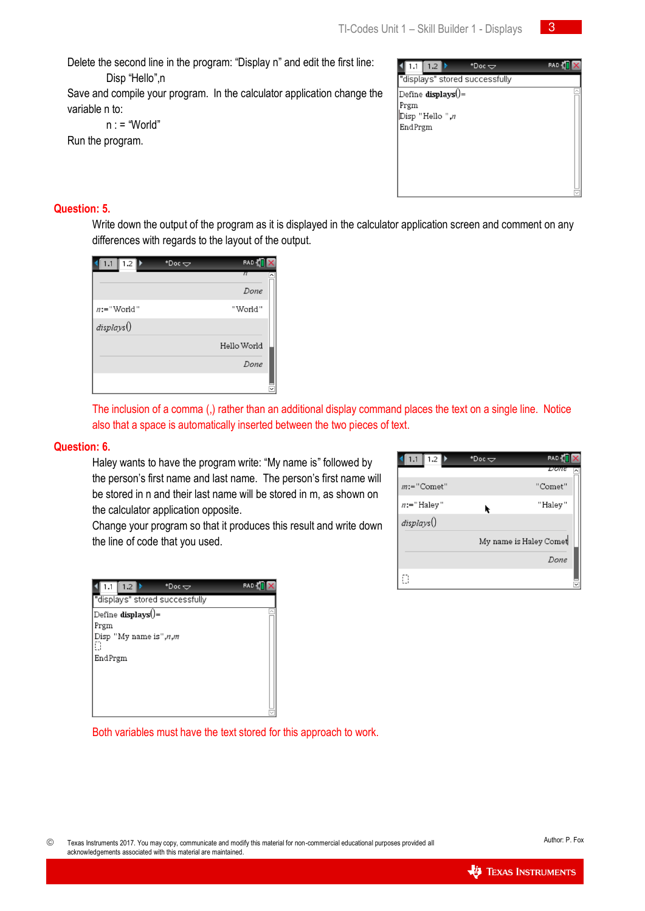-3

Delete the second line in the program: "Display n" and edit the first line:

Disp "Hello",n

Save and compile your program. In the calculator application change the variable n to:

 $n : = "World"$ 

Run the program.

| "displays" stored successfully<br>Define displays $() =$ |  |
|----------------------------------------------------------|--|
| Prgm                                                     |  |
| Disp "Hello ",n                                          |  |
| EndPrgm                                                  |  |
|                                                          |  |
|                                                          |  |
|                                                          |  |
|                                                          |  |
|                                                          |  |

### **Question: 5.**

Write down the output of the program as it is displayed in the calculator application screen and comment on any differences with regards to the layout of the output.

| $1.2 \mathsf{D}$<br>1.1 | *Doc $\infty$ | RAD-        |
|-------------------------|---------------|-------------|
|                         |               | π<br>^      |
|                         |               | Done        |
| $n =$ "World"           |               | ''World''   |
| displays()              |               |             |
|                         |               | Hello World |
|                         |               | Done        |
|                         |               |             |

The inclusion of a comma (,) rather than an additional display command places the text on a single line. Notice also that a space is automatically inserted between the two pieces of text.

#### **Question: 6.**

Haley wants to have the program write: "My name is" followed by the person's first name and last name. The person's first name will be stored in n and their last name will be stored in m, as shown on the calculator application opposite.

Change your program so that it produces this result and write down the line of code that you used.

| 1.2                            | *Doc $\bigtriangledown$ | RAD |
|--------------------------------|-------------------------|-----|
| "displays" stored successfully |                         |     |
| Define displays()=             |                         |     |
| Prgm                           |                         |     |
| Disp "My name is", $n,m$<br>П  |                         |     |
| EndPrgm                        |                         |     |
|                                |                         |     |
|                                |                         |     |
|                                |                         |     |
|                                |                         |     |

Both variables must have the text stored for this approach to work.

| 1.2<br>1.1    | *Doc $\Rightarrow$ | RAD-                   |
|---------------|--------------------|------------------------|
|               |                    | Done                   |
| $m:=$ "Comet" |                    | "Comet"                |
| $n =$ "Haley" |                    | "Haley"                |
| displays()    |                    |                        |
|               |                    | My name is Haley Comet |
|               |                    | Done                   |
| П             |                    |                        |